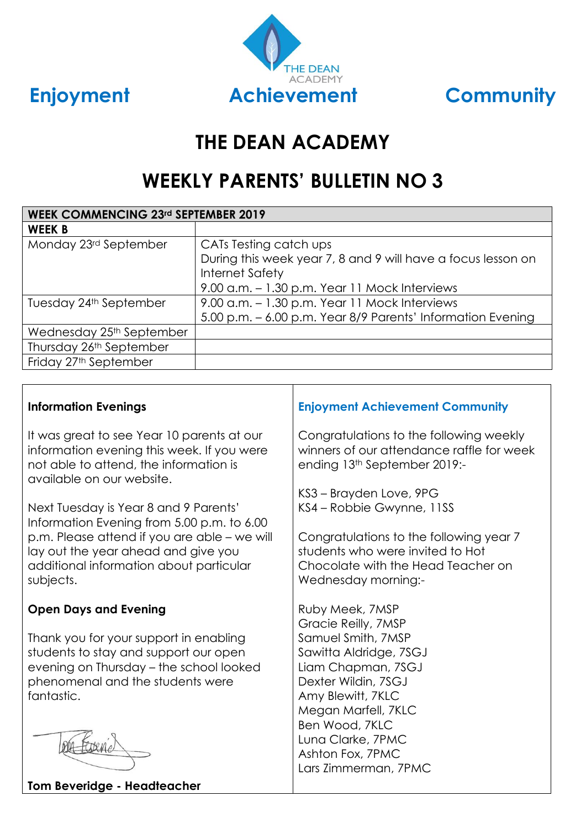

# **THE DEAN ACADEMY**

# **WEEKLY PARENTS' BULLETIN NO 3**

| <b>WEEK COMMENCING 23rd SEPTEMBER 2019</b> |                                                                                                                                                                   |  |  |
|--------------------------------------------|-------------------------------------------------------------------------------------------------------------------------------------------------------------------|--|--|
| <b>WEEK B</b>                              |                                                                                                                                                                   |  |  |
| Monday 23rd September                      | CATs Testing catch ups<br>During this week year 7, 8 and 9 will have a focus lesson on<br><b>Internet Safety</b><br>9.00 a.m. - 1.30 p.m. Year 11 Mock Interviews |  |  |
| Tuesday 24th September                     | 9.00 a.m. – 1.30 p.m. Year 11 Mock Interviews<br>5.00 p.m. - 6.00 p.m. Year 8/9 Parents' Information Evening                                                      |  |  |
| Wednesday 25th September                   |                                                                                                                                                                   |  |  |
| Thursday 26th September                    |                                                                                                                                                                   |  |  |
| Friday 27th September                      |                                                                                                                                                                   |  |  |

# **Information Evenings**

It was great to see Year 10 parents at our information evening this week. If you were not able to attend, the information is available on our website.

Next Tuesday is Year 8 and 9 Parents' Information Evening from 5.00 p.m. to 6.00 p.m. Please attend if you are able – we will lay out the year ahead and give you additional information about particular subjects.

# **Open Days and Evening**

Thank you for your support in enabling students to stay and support our open evening on Thursday – the school looked phenomenal and the students were fantastic.



#### **Tom Beveridge - Headteacher**

# **Enjoyment Achievement Community**

Congratulations to the following weekly winners of our attendance raffle for week ending 13th September 2019:-

KS3 – Brayden Love, 9PG KS4 – Robbie Gwynne, 11SS

Congratulations to the following year 7 students who were invited to Hot Chocolate with the Head Teacher on Wednesday morning:-

Ruby Meek, 7MSP Gracie Reilly, 7MSP Samuel Smith, 7MSP Sawitta Aldridge, 7SGJ Liam Chapman, 7SGJ Dexter Wildin, 7SGJ Amy Blewitt, 7KLC Megan Marfell, 7KLC Ben Wood, 7KLC Luna Clarke, 7PMC Ashton Fox, 7PMC Lars Zimmerman, 7PMC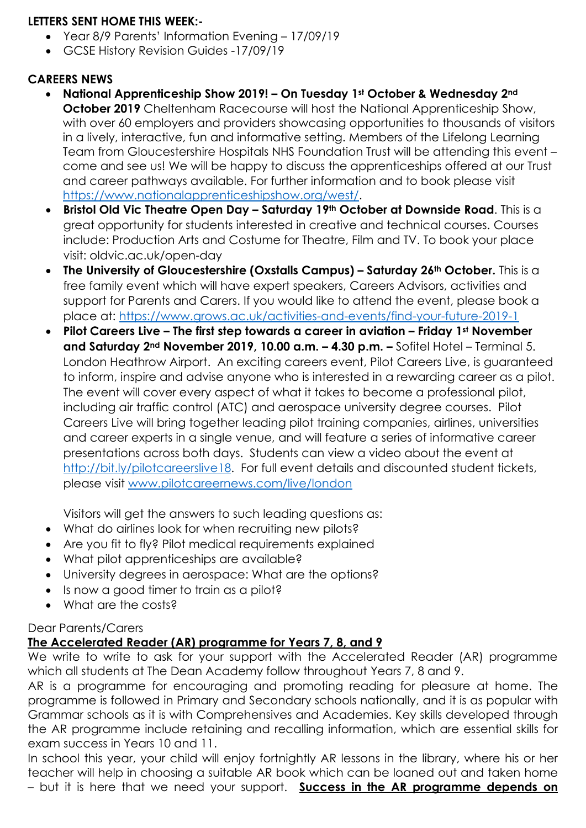# **LETTERS SENT HOME THIS WEEK:-**

- Year 8/9 Parents' Information Evening 17/09/19
- GCSE History Revision Guides -17/09/19

# **CAREERS NEWS**

- **National Apprenticeship Show 2019! – On Tuesday 1st October & Wednesday 2nd October 2019** Cheltenham Racecourse will host the National Apprenticeship Show, with over 60 employers and providers showcasing opportunities to thousands of visitors in a lively, interactive, fun and informative setting. Members of the Lifelong Learning Team from Gloucestershire Hospitals NHS Foundation Trust will be attending this event – come and see us! We will be happy to discuss the apprenticeships offered at our Trust and career pathways available. For further information and to book please visit [https://www.nationalapprenticeshipshow.org/west/.](https://www.nationalapprenticeshipshow.org/west/)
- **Bristol Old Vic Theatre Open Day – Saturday 19th October at Downside Road**. This is a great opportunity for students interested in creative and technical courses. Courses include: Production Arts and Costume for Theatre, Film and TV. To book your place visit: oldvic.ac.uk/open-day
- **The University of Gloucestershire (Oxstalls Campus) – Saturday 26th October.** This is a free family event which will have expert speakers, Careers Advisors, activities and support for Parents and Carers. If you would like to attend the event, please book a place at:<https://www.grows.ac.uk/activities-and-events/find-your-future-2019-1>
- **Pilot Careers Live – The first step towards a career in aviation – Friday 1st November and Saturday 2nd November 2019, 10.00 a.m. – 4.30 p.m. –** Sofitel Hotel – Terminal 5. London Heathrow Airport. An exciting careers event, Pilot Careers Live, is guaranteed to inform, inspire and advise anyone who is interested in a rewarding career as a pilot. The event will cover every aspect of what it takes to become a professional pilot, including air traffic control (ATC) and aerospace university degree courses. Pilot Careers Live will bring together leading pilot training companies, airlines, universities and career experts in a single venue, and will feature a series of informative career presentations across both days. Students can view a video about the event at [http://bit.ly/pilotcareerslive18.](http://bit.ly/pilotcareerslive18) For full event details and discounted student tickets, please visit [www.pilotcareernews.com/live/london](http://www.pilotcareernews.com/live/london)

Visitors will get the answers to such leading questions as:

- What do airlines look for when recruiting new pilots?
- Are you fit to fly? Pilot medical requirements explained
- What pilot apprenticeships are available?
- University degrees in aerospace: What are the options?
- Is now a good timer to train as a pilot?
- What are the costs?

# Dear Parents/Carers

# **The Accelerated Reader (AR) programme for Years 7, 8, and 9**

We write to write to ask for your support with the Accelerated Reader (AR) programme which all students at The Dean Academy follow throughout Years 7, 8 and 9.

AR is a programme for encouraging and promoting reading for pleasure at home. The programme is followed in Primary and Secondary schools nationally, and it is as popular with Grammar schools as it is with Comprehensives and Academies. Key skills developed through the AR programme include retaining and recalling information, which are essential skills for exam success in Years 10 and 11.

In school this year, your child will enjoy fortnightly AR lessons in the library, where his or her teacher will help in choosing a suitable AR book which can be loaned out and taken home – but it is here that we need your support. **Success in the AR programme depends on**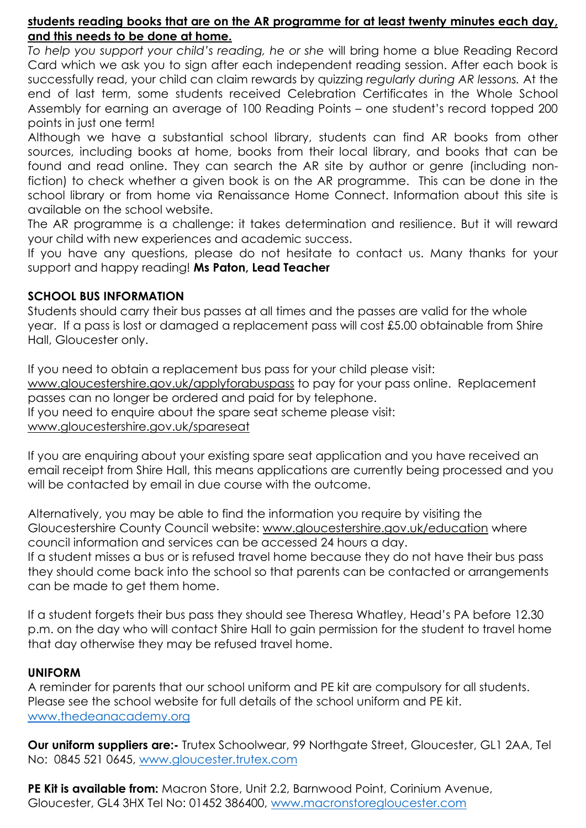## **students reading books that are on the AR programme for at least twenty minutes each day, and this needs to be done at home.**

*To help you support your child's reading, he or she* will bring home a blue Reading Record Card which we ask you to sign after each independent reading session. After each book is successfully read, your child can claim rewards by quizzing *regularly during AR lessons.* At the end of last term, some students received Celebration Certificates in the Whole School Assembly for earning an average of 100 Reading Points – one student's record topped 200 points in just one term!

Although we have a substantial school library, students can find AR books from other sources, including books at home, books from their local library, and books that can be found and read online. They can search the AR site by author or genre (including nonfiction) to check whether a given book is on the AR programme. This can be done in the school library or from home via Renaissance Home Connect. Information about this site is available on the school website.

The AR programme is a challenge: it takes determination and resilience. But it will reward your child with new experiences and academic success.

If you have any questions, please do not hesitate to contact us. Many thanks for your support and happy reading! **Ms Paton, Lead Teacher**

## **SCHOOL BUS INFORMATION**

Students should carry their bus passes at all times and the passes are valid for the whole year. If a pass is lost or damaged a replacement pass will cost £5.00 obtainable from Shire Hall, Gloucester only.

If you need to obtain a replacement bus pass for your child please visit: [www.gloucestershire.gov.uk/applyforabuspass](http://www.gloucestershire.gov.uk/applyforabuspass) to pay for your pass online. Replacement passes can no longer be ordered and paid for by telephone. If you need to enquire about the spare seat scheme please visit: [www.gloucestershire.gov.uk/spareseat](http://www.gloucestershire.gov.uk/spareseat)

If you are enquiring about your existing spare seat application and you have received an email receipt from Shire Hall, this means applications are currently being processed and you will be contacted by email in due course with the outcome.

Alternatively, you may be able to find the information you require by visiting the Gloucestershire County Council website: [www.gloucestershire.gov.uk/education](http://www.gloucestershire.gov.uk/education) where council information and services can be accessed 24 hours a day.

If a student misses a bus or is refused travel home because they do not have their bus pass they should come back into the school so that parents can be contacted or arrangements can be made to get them home.

If a student forgets their bus pass they should see Theresa Whatley, Head's PA before 12.30 p.m. on the day who will contact Shire Hall to gain permission for the student to travel home that day otherwise they may be refused travel home.

## **UNIFORM**

A reminder for parents that our school uniform and PE kit are compulsory for all students. Please see the school website for full details of the school uniform and PE kit. [www.thedeanacademy.org](http://www.thedeanacademy.org/)

**Our uniform suppliers are:-** Trutex Schoolwear, 99 Northgate Street, Gloucester, GL1 2AA, Tel No: 0845 521 0645, [www.gloucester.trutex.com](http://www.gloucester.trutex.com/)

**PE Kit is available from:** Macron Store, Unit 2.2, Barnwood Point, Corinium Avenue, Gloucester, GL4 3HX Tel No: 01452 386400, [www.macronstoregloucester.com](http://www.macronstoregloucester.com/)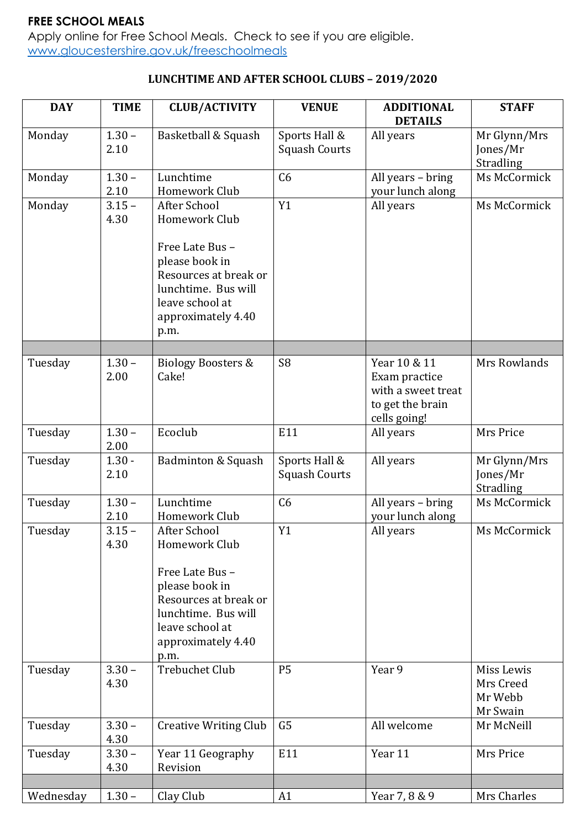# **FREE SCHOOL MEALS**

Apply online for Free School Meals. Check to see if you are eligible. [www.gloucestershire.gov.uk/freeschoolmeals](http://www.gloucestershire.gov.uk/freeschoolmeals)

# **LUNCHTIME AND AFTER SCHOOL CLUBS – 2019/2020**

| <b>DAY</b> | <b>TIME</b>      | <b>CLUB/ACTIVITY</b>                                                                                                                                                | <b>VENUE</b>                          | <b>ADDITIONAL</b><br><b>DETAILS</b>                                                     | <b>STAFF</b>                                   |
|------------|------------------|---------------------------------------------------------------------------------------------------------------------------------------------------------------------|---------------------------------------|-----------------------------------------------------------------------------------------|------------------------------------------------|
| Monday     | $1.30 -$<br>2.10 | Basketball & Squash                                                                                                                                                 | Sports Hall &<br><b>Squash Courts</b> | All years                                                                               | Mr Glynn/Mrs<br>Jones/Mr<br>Stradling          |
| Monday     | $1.30 -$<br>2.10 | Lunchtime<br>Homework Club                                                                                                                                          | C6                                    | All years - bring<br>your lunch along                                                   | Ms McCormick                                   |
| Monday     | $3.15 -$<br>4.30 | After School<br>Homework Club<br>Free Late Bus -<br>please book in<br>Resources at break or<br>lunchtime. Bus will<br>leave school at<br>approximately 4.40<br>p.m. | Y1                                    | All years                                                                               | Ms McCormick                                   |
| Tuesday    | $1.30 -$<br>2.00 | <b>Biology Boosters &amp;</b><br>Cake!                                                                                                                              | S <sub>8</sub>                        | Year 10 & 11<br>Exam practice<br>with a sweet treat<br>to get the brain<br>cells going! | Mrs Rowlands                                   |
| Tuesday    | $1.30 -$<br>2.00 | Ecoclub                                                                                                                                                             | E11                                   | All years                                                                               | Mrs Price                                      |
| Tuesday    | $1.30 -$<br>2.10 | Badminton & Squash                                                                                                                                                  | Sports Hall &<br><b>Squash Courts</b> | All years                                                                               | Mr Glynn/Mrs<br>Jones/Mr<br>Stradling          |
| Tuesday    | $1.30 -$<br>2.10 | Lunchtime<br>Homework Club                                                                                                                                          | C6                                    | All years - bring<br>your lunch along                                                   | Ms McCormick                                   |
| Tuesday    | $3.15 -$<br>4.30 | After School<br>Homework Club<br>Free Late Bus-<br>please book in<br>Resources at break or<br>lunchtime. Bus will<br>leave school at<br>approximately 4.40<br>p.m.  | Y1                                    | All years                                                                               | Ms McCormick                                   |
| Tuesday    | $3.30 -$<br>4.30 | <b>Trebuchet Club</b>                                                                                                                                               | <b>P5</b>                             | Year 9                                                                                  | Miss Lewis<br>Mrs Creed<br>Mr Webb<br>Mr Swain |
| Tuesday    | $3.30 -$<br>4.30 | <b>Creative Writing Club</b>                                                                                                                                        | G <sub>5</sub>                        | All welcome                                                                             | Mr McNeill                                     |
| Tuesday    | $3.30 -$<br>4.30 | Year 11 Geography<br>Revision                                                                                                                                       | E11                                   | Year 11                                                                                 | Mrs Price                                      |
| Wednesday  | $1.30 -$         | Clay Club                                                                                                                                                           | A1                                    | Year 7, 8 & 9                                                                           | Mrs Charles                                    |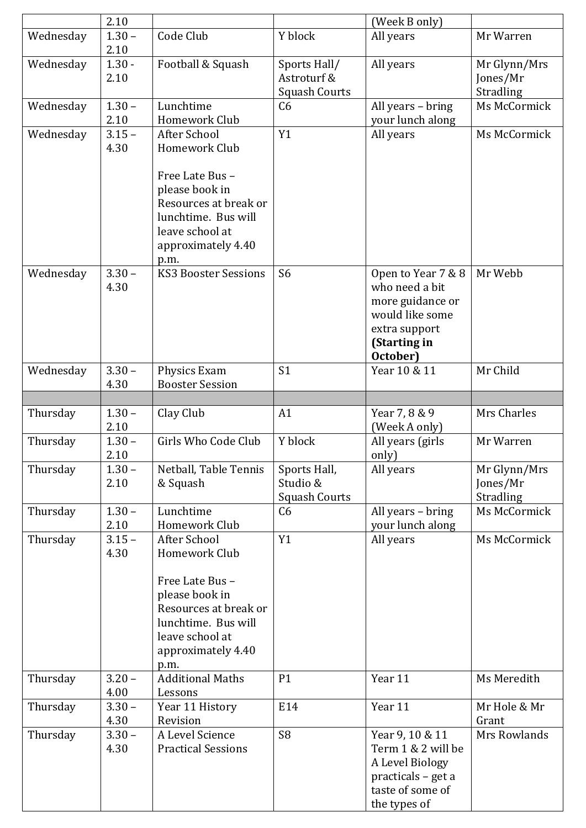|           | 2.10             |                                                                                                                                                                    |                                                     | (Week B only)                                                                                                            |                                       |
|-----------|------------------|--------------------------------------------------------------------------------------------------------------------------------------------------------------------|-----------------------------------------------------|--------------------------------------------------------------------------------------------------------------------------|---------------------------------------|
| Wednesday | $1.30 -$<br>2.10 | Code Club                                                                                                                                                          | Y block                                             | All years                                                                                                                | Mr Warren                             |
| Wednesday | $1.30 -$<br>2.10 | Football & Squash                                                                                                                                                  | Sports Hall/<br>Astroturf &<br><b>Squash Courts</b> | All years                                                                                                                | Mr Glynn/Mrs<br>Jones/Mr<br>Stradling |
| Wednesday | $1.30 -$<br>2.10 | Lunchtime<br>Homework Club                                                                                                                                         | C6                                                  | All years - bring<br>your lunch along                                                                                    | Ms McCormick                          |
| Wednesday | $3.15 -$<br>4.30 | After School<br>Homework Club<br>Free Late Bus -<br>please book in                                                                                                 | Y1                                                  | All years                                                                                                                | Ms McCormick                          |
|           |                  | Resources at break or<br>lunchtime. Bus will<br>leave school at<br>approximately 4.40<br>p.m.                                                                      |                                                     |                                                                                                                          |                                       |
| Wednesday | $3.30 -$<br>4.30 | <b>KS3 Booster Sessions</b>                                                                                                                                        | S <sub>6</sub>                                      | Open to Year 7 & 8<br>who need a bit<br>more guidance or<br>would like some<br>extra support<br>(Starting in<br>October) | Mr Webb                               |
| Wednesday | $3.30 -$<br>4.30 | Physics Exam<br><b>Booster Session</b>                                                                                                                             | S <sub>1</sub>                                      | Year 10 & 11                                                                                                             | Mr Child                              |
|           |                  |                                                                                                                                                                    |                                                     |                                                                                                                          |                                       |
| Thursday  | $1.30 -$<br>2.10 | Clay Club                                                                                                                                                          | A1                                                  | Year 7, 8 & 9<br>(Week A only)                                                                                           | Mrs Charles                           |
| Thursday  | $1.30 -$<br>2.10 | Girls Who Code Club                                                                                                                                                | Y block                                             | All years (girls<br>only)                                                                                                | Mr Warren                             |
| Thursday  | $1.30 -$<br>2.10 | Netball, Table Tennis<br>& Squash                                                                                                                                  | Sports Hall,<br>Studio &<br><b>Squash Courts</b>    | All years                                                                                                                | Mr Glynn/Mrs<br>Jones/Mr<br>Stradling |
| Thursday  | $1.30 -$<br>2.10 | Lunchtime<br>Homework Club                                                                                                                                         | C <sub>6</sub>                                      | All years - bring<br>your lunch along                                                                                    | Ms McCormick                          |
| Thursday  | $3.15 -$<br>4.30 | <b>After School</b><br>Homework Club<br>Free Late Bus -<br>please book in<br>Resources at break or<br>lunchtime. Bus will<br>leave school at<br>approximately 4.40 | Y1                                                  | All years                                                                                                                | Ms McCormick                          |
|           |                  | p.m.                                                                                                                                                               |                                                     |                                                                                                                          |                                       |
| Thursday  | $3.20 -$<br>4.00 | <b>Additional Maths</b><br>Lessons                                                                                                                                 | P <sub>1</sub>                                      | Year 11                                                                                                                  | Ms Meredith                           |
| Thursday  | $3.30 -$<br>4.30 | Year 11 History<br>Revision                                                                                                                                        | E14                                                 | Year 11                                                                                                                  | Mr Hole & Mr<br>Grant                 |
| Thursday  | $3.30 -$<br>4.30 | A Level Science<br><b>Practical Sessions</b>                                                                                                                       | S <sub>8</sub>                                      | Year 9, 10 & 11<br>Term 1 & 2 will be<br>A Level Biology<br>practicals - get a<br>taste of some of<br>the types of       | Mrs Rowlands                          |